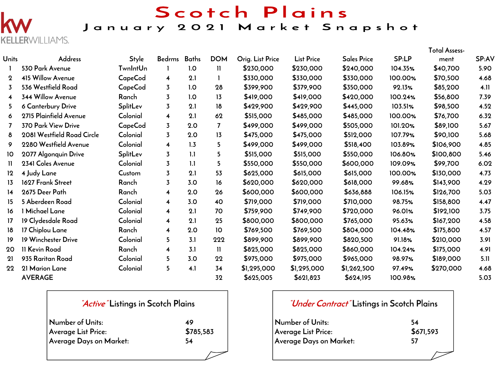

## Scotch Plains January 2021 Market Snapshot

|                  |                            |                 |                         |              |              |                  |                   |                    |         | <b>Total Assess-</b> |              |
|------------------|----------------------------|-----------------|-------------------------|--------------|--------------|------------------|-------------------|--------------------|---------|----------------------|--------------|
| <b>Units</b>     | <b>Address</b>             | Style           | <b>Bedrms</b>           | <b>Baths</b> | <b>DOM</b>   | Orig. List Price | <b>List Price</b> | <b>Sales Price</b> | SP:LP   | ment                 | <b>SP:AV</b> |
|                  | 530 Park Avenue            | <b>TwnIntUn</b> |                         | 1.0          | $\mathbf{1}$ | \$230,000        | \$230,000         | \$240,000          | 104.35% | \$40,700             | 5.90         |
| $\mathbf 2$      | 415 Willow Avenue          | CapeCod         | 4                       | 2.1          | 1            | \$330,000        | \$330,000         | \$330,000          | 100.00% | \$70,500             | 4.68         |
| 3                | 536 Westfield Road         | CapeCod         | 3                       | 1.0          | 28           | \$399,900        | \$379,900         | \$350,000          | 92.13%  | \$85,200             | 4.11         |
| $\overline{4}$   | 344 Willow Avenue          | Ranch           | $\overline{3}$          | 1.0          | 13           | \$419,000        | \$419,000         | \$420,000          | 100.24% | \$56,800             | 7.39         |
| 5.               | 6 Canterbury Drive         | SplitLev        | $\overline{3}$          | 2.1          | 18           | \$429,900        | \$429,900         | \$445,000          | 103.51% | \$98,500             | 4.52         |
| 6                | 2715 Plainfield Avenue     | Colonial        | 4                       | 2.1          | 62           | \$515,000        | \$485,000         | \$485,000          | 100.00% | \$76,700             | 6.32         |
|                  | 370 Park View Drive        | CapeCod         | 3                       | 2.0          | 7            | \$499,000        | \$499,000         | \$505,000          | 101.20% | \$89,100             | 5.67         |
| 8                | 2081 Westfield Road Circle | Colonial        | 3                       | 2.0          | 13           | \$475,000        | \$475,000         | \$512,000          | 107.79% | \$90,100             | 5.68         |
| 9                | 2280 Westfield Avenue      | Colonial        | $\overline{\mathbf{4}}$ | 1.3          | 5            | \$499,000        | \$499,000         | \$518,400          | 103.89% | \$106,900            | 4.85         |
| 10               | 2077 Algonquin Drive       | <b>SplitLev</b> | $\overline{3}$          | 1.1          | 5            | \$515,000        | \$515,000         | \$550,000          | 106.80% | \$100,800            | 5.46         |
| $\mathbf{H}$     | 2341 Coles Avenue          | Colonial        | 3                       | 1.1          | 5            | \$550,000        | \$550,000         | \$600,000          | 109.09% | \$99,700             | 6.02         |
| 12               | 4 Judy Lane                | Custom          | $\overline{3}$          | 2.1          | 53           | \$625,000        | \$615,000         | \$615,000          | 100.00% | \$130,000            | 4.73         |
| 13               | 1627 Frank Street          | Ranch           | 3                       | 3.0          | 16           | \$620,000        | \$620,000         | \$618,000          | 99.68%  | \$143,900            | 4.29         |
| 14               | 2675 Deer Path             | Ranch           | 4                       | 2.0          | 26           | \$600,000        | \$600,000         | \$636,888          | 106.15% | \$126,700            | 5.03         |
| 15 <sub>15</sub> | 5 Aberdeen Road            | Colonial        | $\overline{\mathbf{4}}$ | 3.0          | 40           | \$719,000        | \$719,000         | \$710,000          | 98.75%  | \$158,800            | 4.47         |
| 16               | 1 Michael Lane             | Colonial        | $\overline{\mathbf{4}}$ | 2.1          | 70           | \$759,900        | \$749,900         | \$720,000          | 96.01%  | \$192,100            | 3.75         |
| 17               | 19 Clydesdale Road         | Colonial        | $\overline{\mathbf{4}}$ | 2.1          | 25           | \$800,000        | \$800,000         | \$765,000          | 95.63%  | \$167,200            | 4.58         |
| 18               | 17 Chiplou Lane            | Ranch           | $\overline{\mathbf{4}}$ | 2.0          | 10           | \$769,500        | \$769,500         | \$804,000          | 104.48% | \$175,800            | 4.57         |
| 19               | 19 Winchester Drive        | Colonial        | 5                       | 3.1          | 222          | \$899,900        | \$899,900         | \$820,500          | 91.18%  | \$210,000            | 3.91         |
| 20               | 11 Kevin Road              | Ranch           | $\overline{\mathbf{4}}$ | 3.1          | $\mathbf{H}$ | \$825,000        | \$825,000         | \$860,000          | 104.24% | \$175,000            | 4.91         |
| 21               | 935 Raritan Road           | Colonial        | 5                       | 3.0          | 22           | \$975,000        | \$975,000         | \$965,000          | 98.97%  | \$189,000            | 5.11         |
| $22 \,$          | 21 Marion Lane             | Colonial        | 5                       | 4.1          | 34           | \$1,295,000      | \$1,295,000       | \$1,262,500        | 97.49%  | \$270,000            | 4.68         |
|                  | <b>AVERAGE</b>             |                 |                         |              | 32           | \$625,005        | \$621,823         | \$624,195          | 100.98% |                      | 5.03         |

| <i>Active</i> Listings in Scotch Plains |           |
|-----------------------------------------|-----------|
| Number of Units:                        | 49        |
| Average List Price:                     | \$785,583 |
| Average Days on Market:                 | 54        |
|                                         |           |

| <i>"Under Contract"</i> Listings in Scotch Plains |           |  |  |  |  |  |  |
|---------------------------------------------------|-----------|--|--|--|--|--|--|
| Number of Units:                                  | 54        |  |  |  |  |  |  |
| Average List Price:                               | \$671,593 |  |  |  |  |  |  |
| Average Days on Market:                           | 57        |  |  |  |  |  |  |
|                                                   |           |  |  |  |  |  |  |